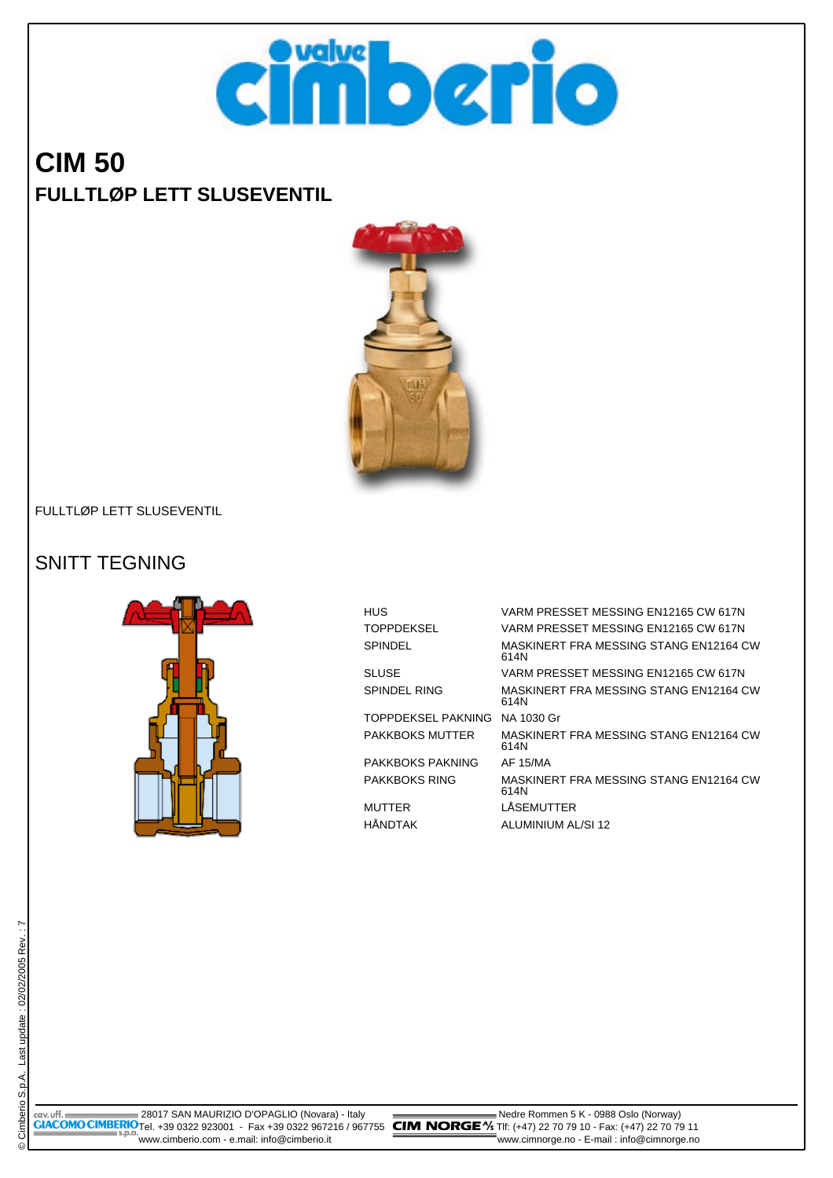

# **CIM 50 FULLTLØP LETT SLUSEVENTIL**



#### FULLTLØP LETT SLUSEVENTIL

#### SNITT TEGNING



| HUS                           | VARM PRESSET MESSING EN12165 CW 617N           |
|-------------------------------|------------------------------------------------|
| TOPPDEKSEL                    | VARM PRESSET MESSING EN12165 CW 617N           |
| SPINDEL                       | MASKINERT FRA MESSING STANG EN12164 CW<br>614N |
| SLUSE                         | VARM PRESSET MESSING EN12165 CW 617N           |
| SPINDEL RING                  | MASKINERT FRA MESSING STANG EN12164 CW<br>614N |
| TOPPDEKSEL PAKNING NA 1030 Gr |                                                |
| PAKKBOKS MUTTER               | MASKINERT FRA MESSING STANG EN12164 CW<br>614N |
| PAKKBOKS PAKNING              | AF 15/MA                                       |
| PAKKBOKS RING                 | MASKINERT FRA MESSING STANG EN12164 CW<br>614N |
| MUTTER                        | LÅSEMUTTER                                     |
| HÅNDTAK                       | ALUMINIUM AL/SI 12                             |

 28017 SAN MAURIZIO D'OPAGLIO (Novara) - Italy Nedre Rommen 5 K - 0988 Oslo (Norway) **GIACOMO CIMBERIO**Tel. +39 0322 923001 - Fax +39 0322 967216 / 967755 **CIM NORGE** "X5 TIf: (+47) 22 70 79 10 - Fax: (+47) 22 70 79 11 www.cimberio.com - e.mail: info@cimberio.it www.cimnorge.no - E-mail : info@cimnorge.no